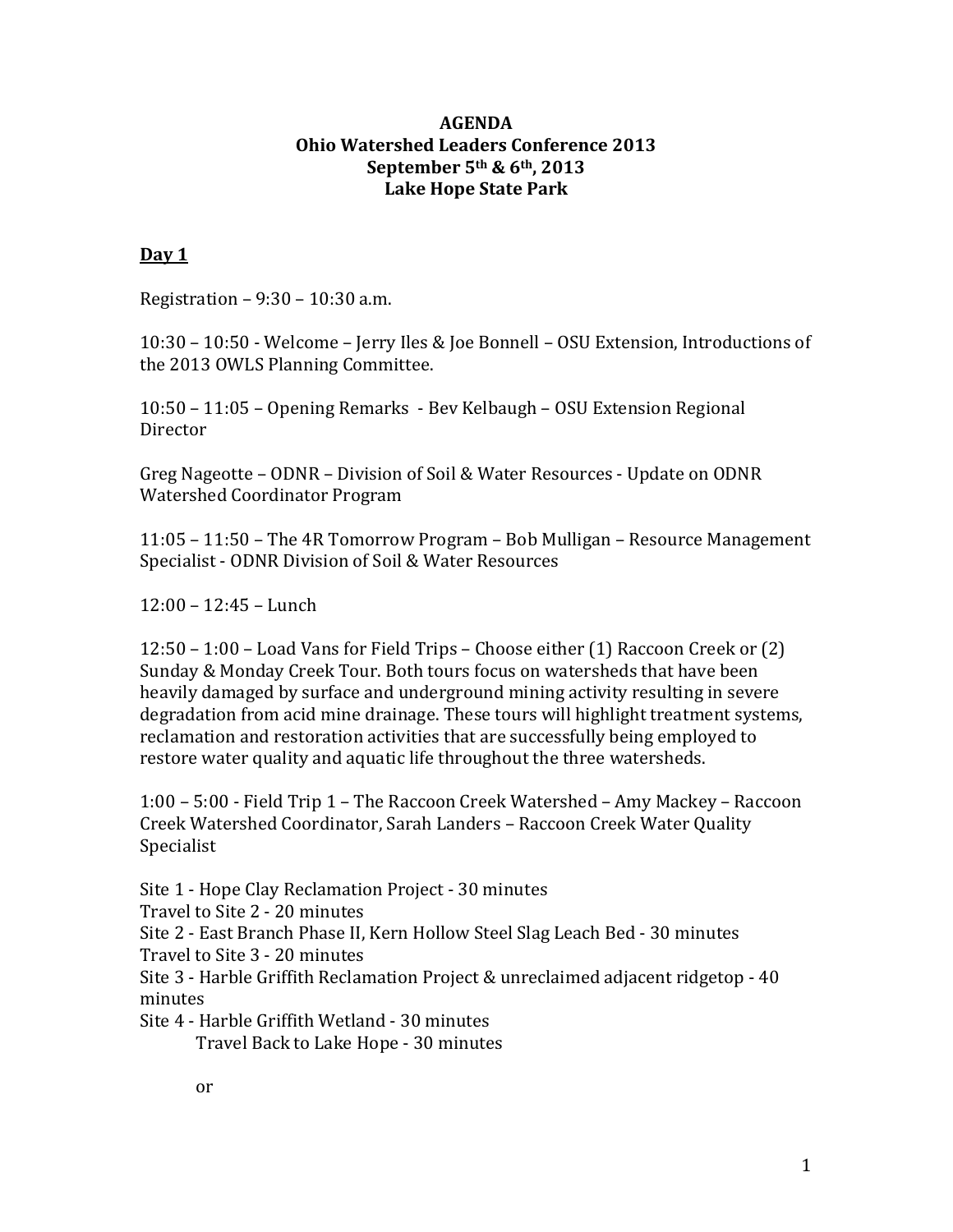### **AGENDA Ohio Watershed Leaders Conference 2013 September 5th & 6th, 2013 Lake Hope State Park**

# **Day 1**

Registration – 9:30 – 10:30 a.m.

10:30 – 10:50 - Welcome – Jerry Iles & Joe Bonnell – OSU Extension, Introductions of the 2013 OWLS Planning Committee.

10:50 – 11:05 – Opening Remarks - Bev Kelbaugh – OSU Extension Regional Director

Greg Nageotte – ODNR – Division of Soil & Water Resources - Update on ODNR Watershed Coordinator Program

11:05 – 11:50 – The 4R Tomorrow Program – Bob Mulligan – Resource Management Specialist - ODNR Division of Soil & Water Resources

12:00 – 12:45 – Lunch

12:50 – 1:00 – Load Vans for Field Trips – Choose either (1) Raccoon Creek or (2) Sunday & Monday Creek Tour. Both tours focus on watersheds that have been heavily damaged by surface and underground mining activity resulting in severe degradation from acid mine drainage. These tours will highlight treatment systems, reclamation and restoration activities that are successfully being employed to restore water quality and aquatic life throughout the three watersheds.

1:00 – 5:00 - Field Trip 1 – The Raccoon Creek Watershed – Amy Mackey – Raccoon Creek Watershed Coordinator, Sarah Landers – Raccoon Creek Water Quality Specialist

Site 1 - Hope Clay Reclamation Project - 30 minutes

Travel to Site 2 - 20 minutes

Site 2 - East Branch Phase II, Kern Hollow Steel Slag Leach Bed - 30 minutes Travel to Site 3 - 20 minutes

Site 3 - Harble Griffith Reclamation Project & unreclaimed adjacent ridgetop - 40 minutes

Site 4 - Harble Griffith Wetland - 30 minutes

Travel Back to Lake Hope - 30 minutes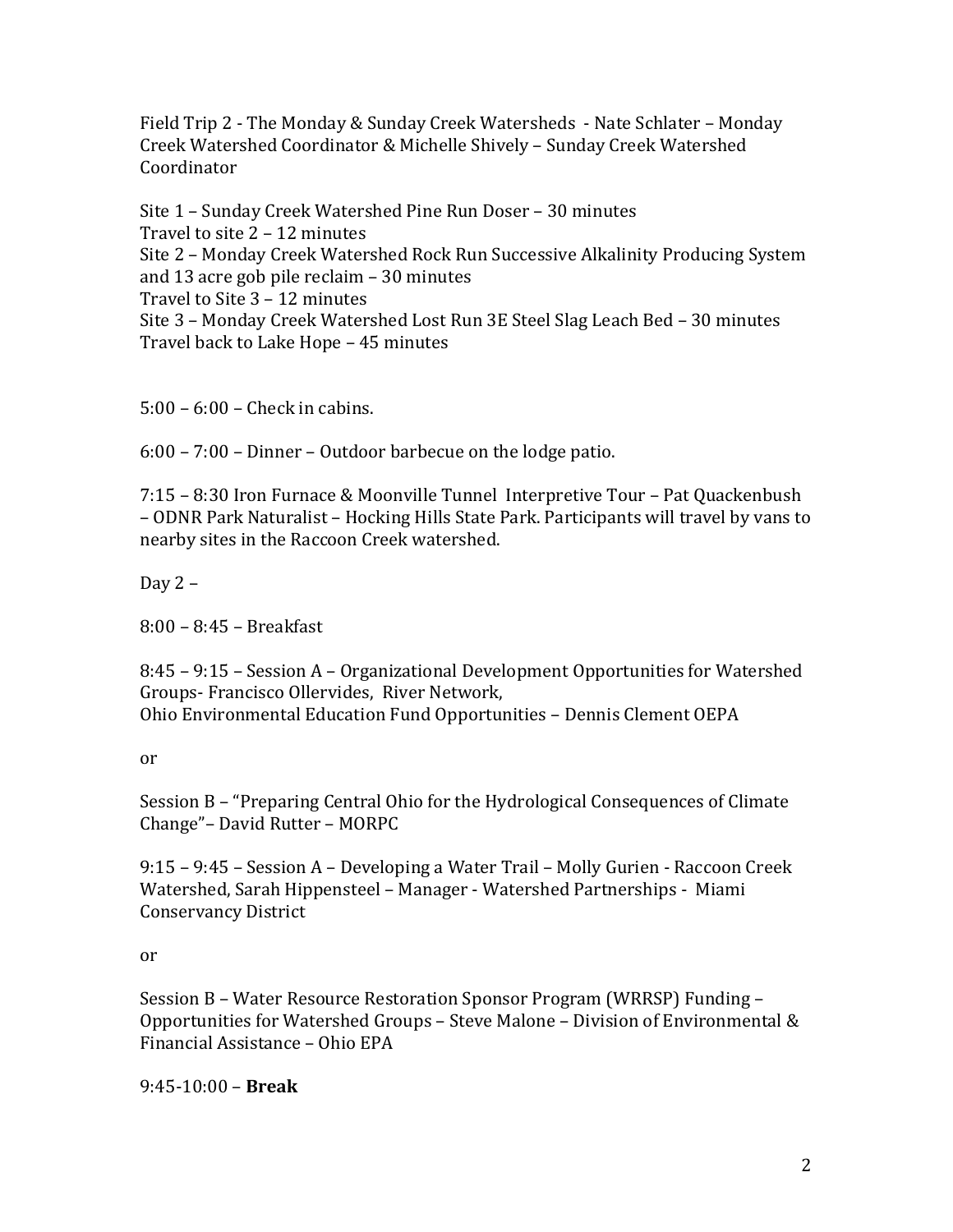Field Trip 2 - The Monday & Sunday Creek Watersheds - Nate Schlater – Monday Creek Watershed Coordinator & Michelle Shively – Sunday Creek Watershed Coordinator

Site 1 – Sunday Creek Watershed Pine Run Doser – 30 minutes Travel to site 2 – 12 minutes Site 2 – Monday Creek Watershed Rock Run Successive Alkalinity Producing System and 13 acre gob pile reclaim – 30 minutes Travel to Site 3 – 12 minutes Site 3 – Monday Creek Watershed Lost Run 3E Steel Slag Leach Bed – 30 minutes Travel back to Lake Hope – 45 minutes

5:00 – 6:00 – Check in cabins.

6:00 – 7:00 – Dinner – Outdoor barbecue on the lodge patio.

7:15 – 8:30 Iron Furnace & Moonville Tunnel Interpretive Tour – Pat Quackenbush – ODNR Park Naturalist – Hocking Hills State Park. Participants will travel by vans to nearby sites in the Raccoon Creek watershed.

Day 2 –

8:00 – 8:45 – Breakfast

8:45 – 9:15 – Session A – Organizational Development Opportunities for Watershed Groups- Francisco Ollervides, River Network, Ohio Environmental Education Fund Opportunities – Dennis Clement OEPA

or

Session B – "Preparing Central Ohio for the Hydrological Consequences of Climate Change"– David Rutter – MORPC

9:15 – 9:45 – Session A – Developing a Water Trail – Molly Gurien - Raccoon Creek Watershed, Sarah Hippensteel – Manager - Watershed Partnerships - Miami Conservancy District

or

Session B – Water Resource Restoration Sponsor Program (WRRSP) Funding – Opportunities for Watershed Groups – Steve Malone – Division of Environmental & Financial Assistance – Ohio EPA

9:45-10:00 – **Break**